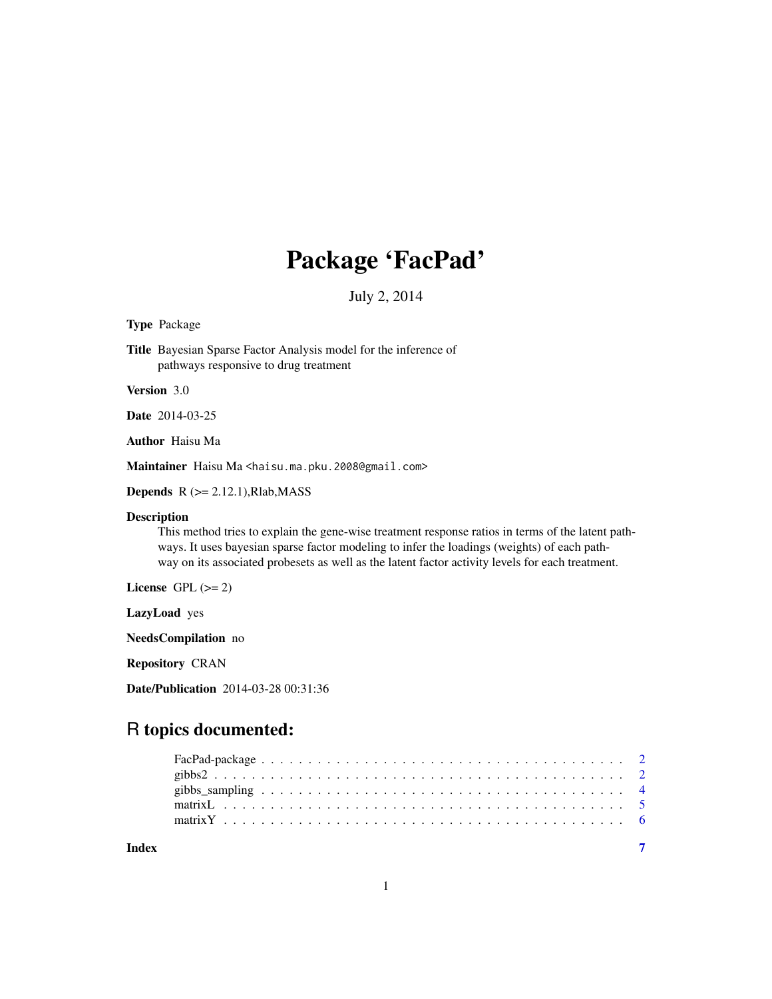## Package 'FacPad'

July 2, 2014

Type Package

Title Bayesian Sparse Factor Analysis model for the inference of pathways responsive to drug treatment

Version 3.0

Date 2014-03-25

Author Haisu Ma

Maintainer Haisu Ma <haisu.ma.pku.2008@gmail.com>

Depends  $R$  ( $>= 2.12.1$ ), Rlab, MASS

#### Description

This method tries to explain the gene-wise treatment response ratios in terms of the latent pathways. It uses bayesian sparse factor modeling to infer the loadings (weights) of each pathway on its associated probesets as well as the latent factor activity levels for each treatment.

License GPL  $(>= 2)$ 

LazyLoad yes

NeedsCompilation no

Repository CRAN

Date/Publication 2014-03-28 00:31:36

### R topics documented:

| Index |  |  |  |  |  |  |  |  |  |  |  |  |  |  |  |  |  |  |  |  |
|-------|--|--|--|--|--|--|--|--|--|--|--|--|--|--|--|--|--|--|--|--|
|       |  |  |  |  |  |  |  |  |  |  |  |  |  |  |  |  |  |  |  |  |
|       |  |  |  |  |  |  |  |  |  |  |  |  |  |  |  |  |  |  |  |  |
|       |  |  |  |  |  |  |  |  |  |  |  |  |  |  |  |  |  |  |  |  |
|       |  |  |  |  |  |  |  |  |  |  |  |  |  |  |  |  |  |  |  |  |
|       |  |  |  |  |  |  |  |  |  |  |  |  |  |  |  |  |  |  |  |  |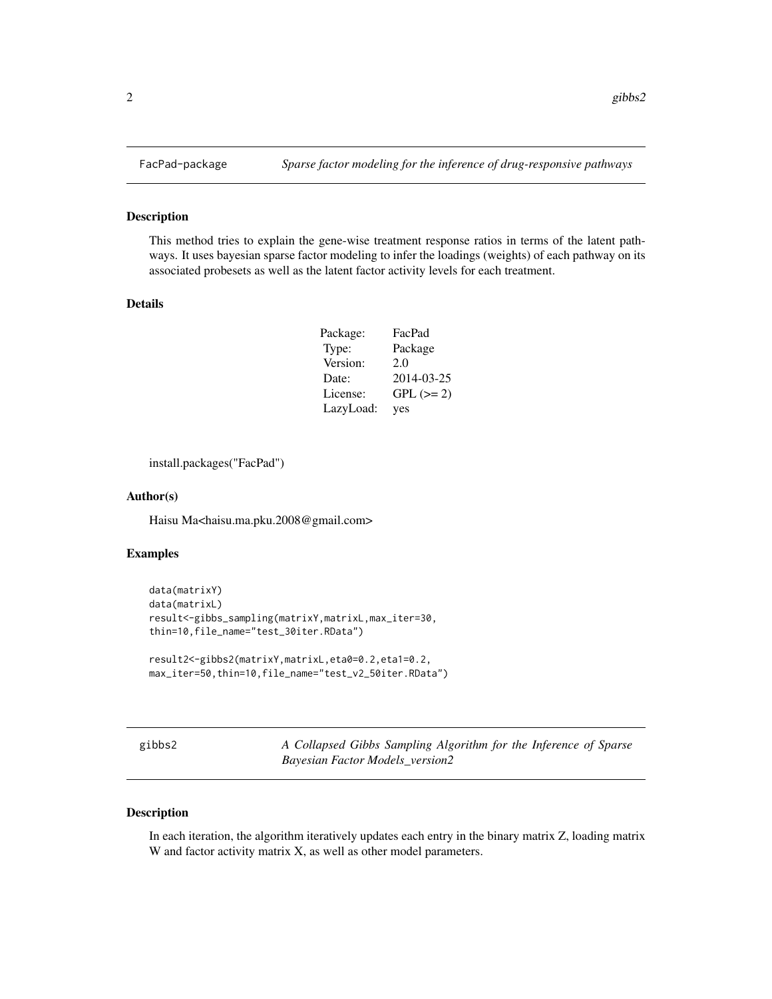#### Description

This method tries to explain the gene-wise treatment response ratios in terms of the latent pathways. It uses bayesian sparse factor modeling to infer the loadings (weights) of each pathway on its associated probesets as well as the latent factor activity levels for each treatment.

#### Details

| Package:  | FacPad     |
|-----------|------------|
| Type:     | Package    |
| Version:  | 2.0        |
| Date:     | 2014-03-25 |
| License:  | $GPL (=2)$ |
| LazyLoad: | yes        |

install.packages("FacPad")

#### Author(s)

Haisu Ma<haisu.ma.pku.2008@gmail.com>

#### Examples

```
data(matrixY)
data(matrixL)
result<-gibbs_sampling(matrixY,matrixL,max_iter=30,
thin=10,file_name="test_30iter.RData")
result2<-gibbs2(matrixY,matrixL,eta0=0.2,eta1=0.2,
max_iter=50,thin=10,file_name="test_v2_50iter.RData")
```
gibbs2 *A Collapsed Gibbs Sampling Algorithm for the Inference of Sparse Bayesian Factor Models\_version2*

#### Description

In each iteration, the algorithm iteratively updates each entry in the binary matrix Z, loading matrix W and factor activity matrix X, as well as other model parameters.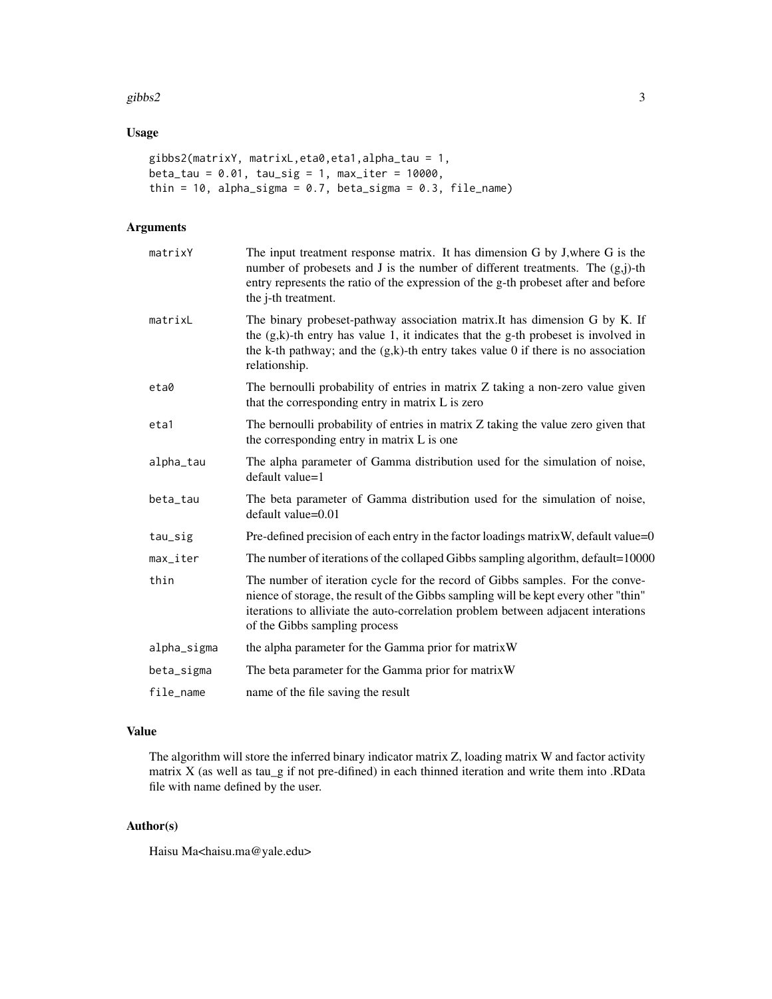#### gibbs2  $\overline{\phantom{a}}$  3

#### Usage

```
gibbs2(matrixY, matrixL,eta0,eta1,alpha_tau = 1,
beta\_tau = 0.01, tau\_sig = 1, max\_iter = 10000,
thin = 10, alpha_sigma = 0.7, beta_sigma = 0.3, file_name)
```
#### Arguments

| matrixY     | The input treatment response matrix. It has dimension G by J, where G is the<br>number of probesets and J is the number of different treatments. The $(g_i)$ -th<br>entry represents the ratio of the expression of the g-th probeset after and before<br>the j-th treatment.              |
|-------------|--------------------------------------------------------------------------------------------------------------------------------------------------------------------------------------------------------------------------------------------------------------------------------------------|
| matrixL     | The binary probeset-pathway association matrix. It has dimension G by K. If<br>the $(g,k)$ -th entry has value 1, it indicates that the g-th probeset is involved in<br>the k-th pathway; and the $(g,k)$ -th entry takes value 0 if there is no association<br>relationship.              |
| eta0        | The bernoulli probability of entries in matrix Z taking a non-zero value given<br>that the corresponding entry in matrix L is zero                                                                                                                                                         |
| eta1        | The bernoulli probability of entries in matrix Z taking the value zero given that<br>the corresponding entry in matrix L is one                                                                                                                                                            |
| alpha_tau   | The alpha parameter of Gamma distribution used for the simulation of noise,<br>default value=1                                                                                                                                                                                             |
| beta_tau    | The beta parameter of Gamma distribution used for the simulation of noise,<br>$default value=0.01$                                                                                                                                                                                         |
| tau_sig     | Pre-defined precision of each entry in the factor loadings matrix W, default value=0                                                                                                                                                                                                       |
| max_iter    | The number of iterations of the collaped Gibbs sampling algorithm, default=10000                                                                                                                                                                                                           |
| thin        | The number of iteration cycle for the record of Gibbs samples. For the conve-<br>nience of storage, the result of the Gibbs sampling will be kept every other "thin"<br>iterations to alliviate the auto-correlation problem between adjacent interations<br>of the Gibbs sampling process |
| alpha_sigma | the alpha parameter for the Gamma prior for matrix W                                                                                                                                                                                                                                       |
| beta_sigma  | The beta parameter for the Gamma prior for matrix W                                                                                                                                                                                                                                        |
| file_name   | name of the file saving the result                                                                                                                                                                                                                                                         |

#### Value

The algorithm will store the inferred binary indicator matrix Z, loading matrix W and factor activity matrix X (as well as tau\_g if not pre-difined) in each thinned iteration and write them into .RData file with name defined by the user.

#### Author(s)

Haisu Ma<haisu.ma@yale.edu>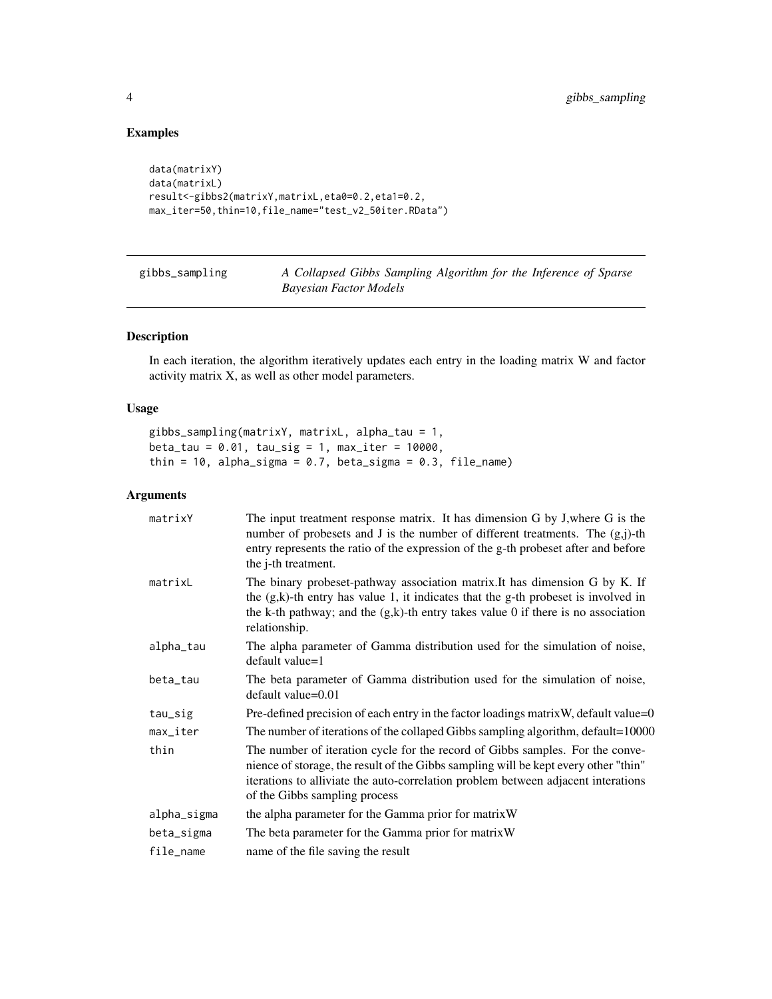#### Examples

```
data(matrixY)
data(matrixL)
result<-gibbs2(matrixY,matrixL,eta0=0.2,eta1=0.2,
max_iter=50,thin=10,file_name="test_v2_50iter.RData")
```
gibbs\_sampling *A Collapsed Gibbs Sampling Algorithm for the Inference of Sparse Bayesian Factor Models*

#### Description

In each iteration, the algorithm iteratively updates each entry in the loading matrix W and factor activity matrix X, as well as other model parameters.

#### Usage

```
gibbs_sampling(matrixY, matrixL, alpha_tau = 1,
beta\_tau = 0.01, tau\_sig = 1, max\_iter = 10000,
thin = 10, alpha_sigma = 0.7, beta_sigma = 0.3, file_name)
```
#### Arguments

| matrixY     | The input treatment response matrix. It has dimension G by J, where G is the<br>number of probesets and J is the number of different treatments. The $(g, j)$ -th<br>entry represents the ratio of the expression of the g-th probeset after and before<br>the j-th treatment.             |
|-------------|--------------------------------------------------------------------------------------------------------------------------------------------------------------------------------------------------------------------------------------------------------------------------------------------|
| matrixL     | The binary probeset-pathway association matrix. It has dimension G by K. If<br>the $(g,k)$ -th entry has value 1, it indicates that the g-th probeset is involved in<br>the k-th pathway; and the $(g,k)$ -th entry takes value 0 if there is no association<br>relationship.              |
| alpha_tau   | The alpha parameter of Gamma distribution used for the simulation of noise,<br>default value=1                                                                                                                                                                                             |
| beta_tau    | The beta parameter of Gamma distribution used for the simulation of noise,<br>default value=0.01                                                                                                                                                                                           |
| tau_sig     | Pre-defined precision of each entry in the factor loadings matrix W, default value=0                                                                                                                                                                                                       |
| max_iter    | The number of iterations of the collaped Gibbs sampling algorithm, default=10000                                                                                                                                                                                                           |
| thin        | The number of iteration cycle for the record of Gibbs samples. For the conve-<br>nience of storage, the result of the Gibbs sampling will be kept every other "thin"<br>iterations to alliviate the auto-correlation problem between adjacent interations<br>of the Gibbs sampling process |
| alpha_sigma | the alpha parameter for the Gamma prior for matrix W                                                                                                                                                                                                                                       |
| beta_sigma  | The beta parameter for the Gamma prior for matrix W                                                                                                                                                                                                                                        |
| file_name   | name of the file saving the result                                                                                                                                                                                                                                                         |

<span id="page-3-0"></span>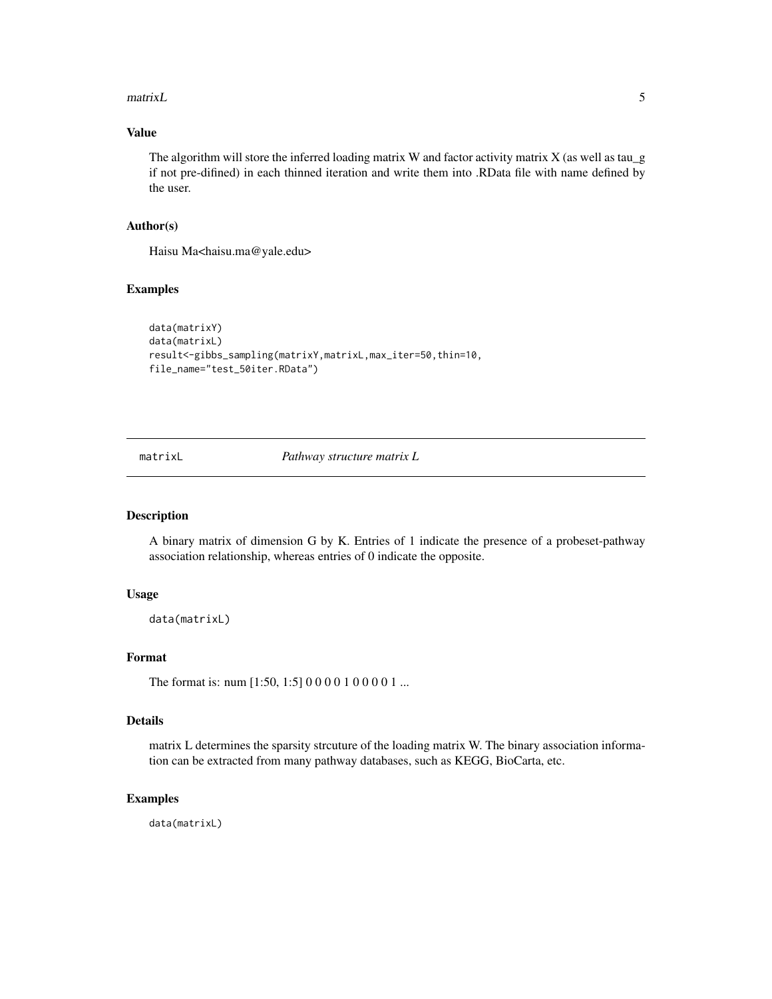<span id="page-4-0"></span> $matrixL$  5

#### Value

The algorithm will store the inferred loading matrix W and factor activity matrix X (as well as tau\_g if not pre-difined) in each thinned iteration and write them into .RData file with name defined by the user.

#### Author(s)

Haisu Ma<haisu.ma@yale.edu>

#### Examples

```
data(matrixY)
data(matrixL)
result<-gibbs_sampling(matrixY,matrixL,max_iter=50,thin=10,
file_name="test_50iter.RData")
```
matrixL *Pathway structure matrix L*

#### Description

A binary matrix of dimension G by K. Entries of 1 indicate the presence of a probeset-pathway association relationship, whereas entries of 0 indicate the opposite.

#### Usage

data(matrixL)

#### Format

The format is: num [1:50, 1:5] 0 0 0 0 1 0 0 0 0 1 ...

#### Details

matrix L determines the sparsity strcuture of the loading matrix W. The binary association information can be extracted from many pathway databases, such as KEGG, BioCarta, etc.

#### Examples

data(matrixL)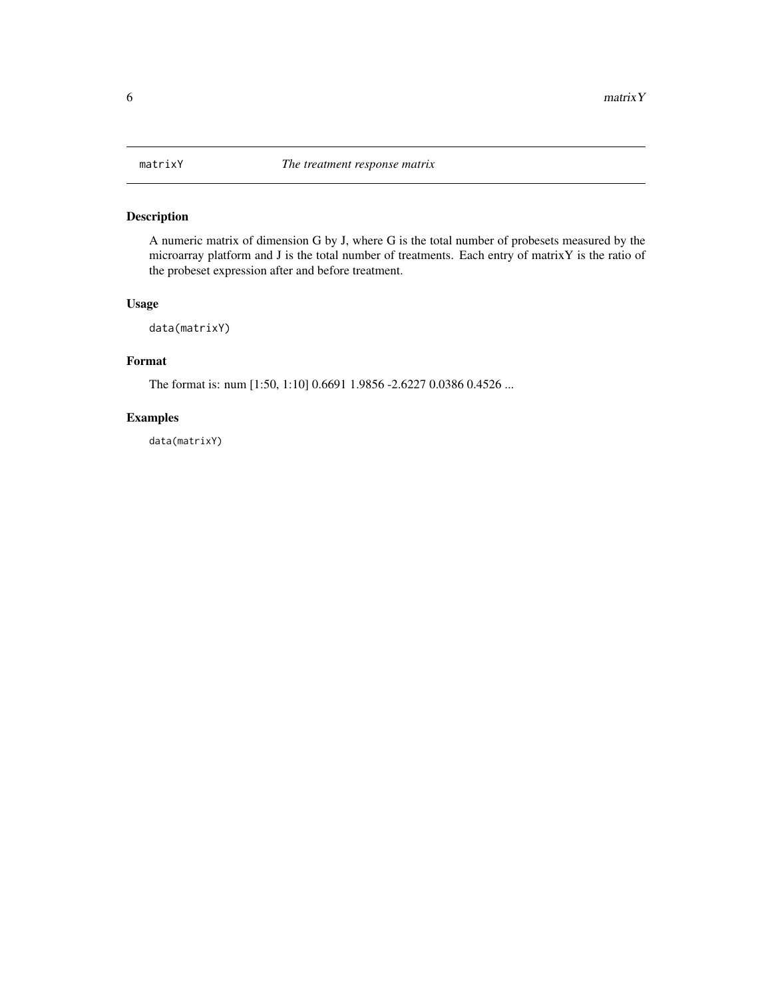<span id="page-5-0"></span>

#### Description

A numeric matrix of dimension G by J, where G is the total number of probesets measured by the microarray platform and J is the total number of treatments. Each entry of matrixY is the ratio of the probeset expression after and before treatment.

#### Usage

```
data(matrixY)
```
#### Format

The format is: num [1:50, 1:10] 0.6691 1.9856 -2.6227 0.0386 0.4526 ...

#### Examples

data(matrixY)